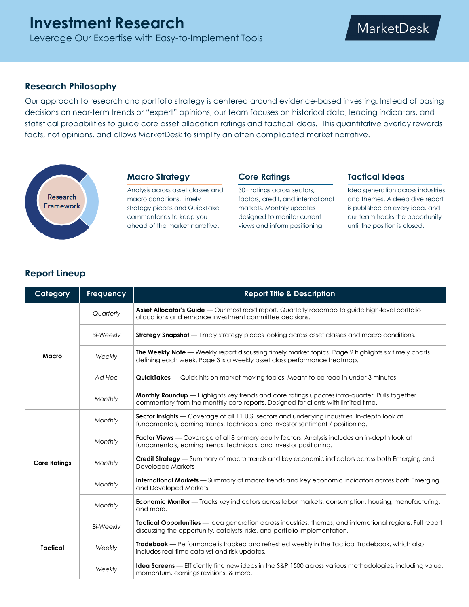# **Research Philosophy**

Our approach to research and portfolio strategy is centered around evidence-based investing. Instead of basing decisions on near-term trends or "expert" opinions, our team focuses on historical data, leading indicators, and statistical probabilities to guide core asset allocation ratings and tactical ideas. This quantitative overlay rewards facts, not opinions, and allows MarketDesk to simplify an often complicated market narrative.



## **Macro Strategy**

Analysis across asset classes and macro conditions. Timely strategy pieces and QuickTake commentaries to keep you ahead of the market narrative.

#### **Core Ratings**

30+ ratings across sectors, factors, credit, and international markets. Monthly updates designed to monitor current views and inform positioning.

#### **Tactical Ideas**

Idea generation across industries and themes. A deep dive report is published on every idea, and our team tracks the opportunity until the position is closed.

# **Report Lineup**

| Category            | Frequency        | <b>Report Title &amp; Description</b>                                                                                                                                                      |
|---------------------|------------------|--------------------------------------------------------------------------------------------------------------------------------------------------------------------------------------------|
| Macro               | Quarterly        | Asset Allocator's Guide — Our most read report. Quarterly roadmap to guide high-level portfolio<br>allocations and enhance investment committee decisions.                                 |
|                     | <b>Bi-Weekly</b> | <b>Strategy Snapshot</b> — Timely strategy pieces looking across asset classes and macro conditions.                                                                                       |
|                     | Weekly           | The Weekly Note — Weekly report discussing timely market topics. Page 2 highlights six timely charts<br>defining each week. Page 3 is a weekly asset class performance heatmap.            |
|                     | Ad Hoc           | <b>QuickTakes</b> — Quick hits on market moving topics. Meant to be read in under 3 minutes                                                                                                |
|                     | Monthly          | <b>Monthly Roundup</b> — Highlights key trends and core ratings updates intra-quarter. Pulls together<br>commentary from the monthly core reports. Designed for clients with limited time. |
| <b>Core Ratings</b> | Monthly          | Sector Insights — Coverage of all 11 U.S. sectors and underlying industries. In-depth look at<br>fundamentals, earning trends, technicals, and investor sentiment / positioning.           |
|                     | Monthly          | Factor Views - Coverage of all 8 primary equity factors. Analysis includes an in-depth look at<br>fundamentals, earning trends, technicals, and investor positioning.                      |
|                     | Monthly          | <b>Credit Strategy</b> — Summary of macro trends and key economic indicators across both Emerging and<br><b>Developed Markets</b>                                                          |
|                     | Monthly          | <b>International Markets</b> — Summary of macro trends and key economic indicators across both Emerging<br>and Developed Markets.                                                          |
|                     | Monthly          | <b>Economic Monitor</b> — Tracks key indicators across labor markets, consumption, housing, manufacturing,<br>and more.                                                                    |
| <b>Tactical</b>     | <b>Bi-Weekly</b> | Tactical Opportunities — Idea generation across industries, themes, and international regions. Full report<br>discussing the opportunity, catalysts, risks, and portfolio implementation.  |
|                     | Weekly           | <b>Tradebook</b> — Performance is tracked and refreshed weekly in the Tactical Tradebook, which also<br>includes real-time catalyst and risk updates.                                      |
|                     | Weekly           | <b>Idea Screens</b> — Efficiently find new ideas in the S&P 1500 across various methodologies, including value,<br>momentum, earnings revisions, & more.                                   |